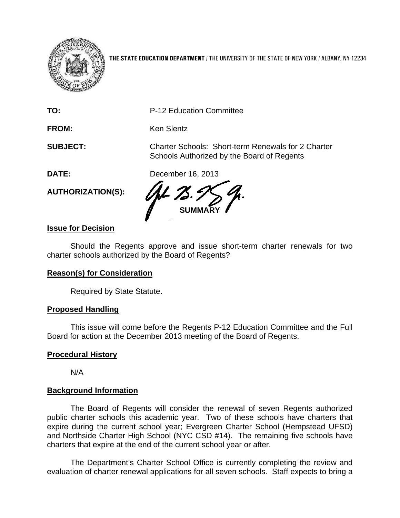

**THE STATE EDUCATION DEPARTMENT** / THE UNIVERSITY OF THE STATE OF NEW YORK / ALBANY, NY 12234

Schools Authorized by the Board of Regents

**TO:** P-12 Education Committee

**FROM:** Ken Slentz

**SUBJECT:** Charter Schools: Short-term Renewals for 2 Charter

**DATE:** December 16, 2013

**AUTHORIZATION(S):** 

**SUMMARY** 

# **Issue for Decision**

Should the Regents approve and issue short-term charter renewals for two charter schools authorized by the Board of Regents?

## **Reason(s) for Consideration**

Required by State Statute.

## **Proposed Handling**

This issue will come before the Regents P-12 Education Committee and the Full Board for action at the December 2013 meeting of the Board of Regents.

### **Procedural History**

N/A

## **Background Information**

The Board of Regents will consider the renewal of seven Regents authorized public charter schools this academic year. Two of these schools have charters that expire during the current school year; Evergreen Charter School (Hempstead UFSD) and Northside Charter High School (NYC CSD #14). The remaining five schools have charters that expire at the end of the current school year or after.

The Department's Charter School Office is currently completing the review and evaluation of charter renewal applications for all seven schools. Staff expects to bring a